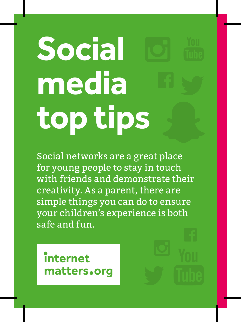# **Social media top tips**

Social networks are a great place for young people to stay in touch with friends and demonstrate their creativity. As a parent, there are simple things you can do to ensure your children's experience is both safe and fun.

internet matters.org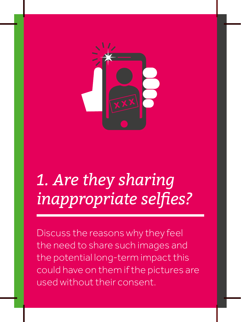

#### *1. Are they sharing inappropriate selfies?*

Discuss the reasons why they feel the need to share such images and the potential long-term impact this could have on them if the pictures are used without their consent.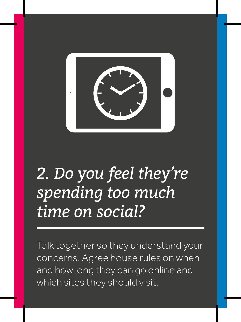

### *2. Do you feel they're spending too much time on social?*

Talk together so they understand your concerns. Agree house rules on when and how long they can go online and which sites they should visit.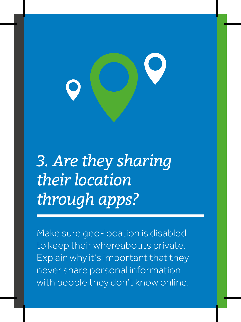

#### *3. Are they sharing their location through apps?*

Make sure geo-location is disabled to keep their whereabouts private. Explain why it's important that they never share personal information with people they don't know online.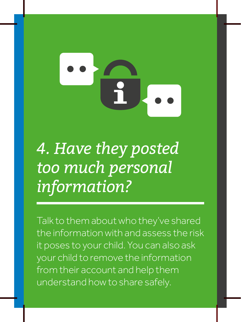

#### *4. Have they posted too much personal information?*

Talk to them about who they've shared the information with and assess the risk it poses to your child. You can also ask your child to remove the information from their account and help them understand how to share safely.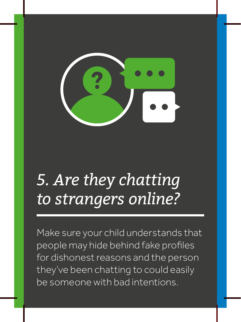

#### *5. Are they chatting to strangers online?*

Make sure your child understands that people may hide behind fake profiles for dishonest reasons and the person they've been chatting to could easily be someone with bad intentions.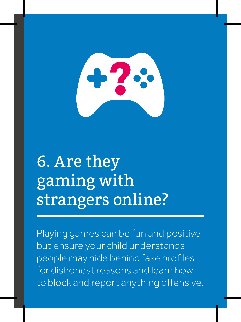#### 6. Are they gaming with strangers online?

Playing games can be fun and positive but ensure your child understands people may hide behind fake profiles for dishonest reasons and learn how to block and report anything offensive.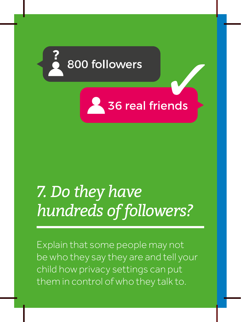

#### 36 real friends

## *7. Do they have hundreds of followers?*

Explain that some people may not be who they say they are and tell your child how privacy settings can put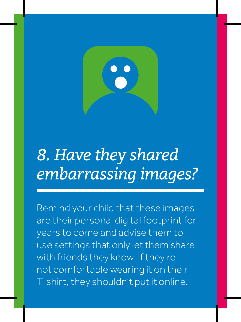

### *8. Have they shared embarrassing images?*

Remind your child that these images are their personal digital footprint for years to come and advise them to use settings that only let them share with friends they know. If they're not comfortable wearing it on their T-shirt, they shouldn't put it online.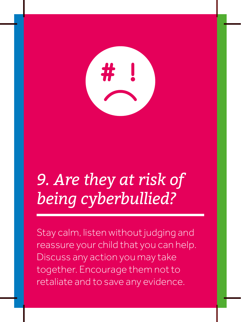### *9. Are they at risk of being cyberbullied?*

Stay calm, listen without judging and reassure your child that you can help. Discuss any action you may take together. Encourage them not to retaliate and to save any evidence.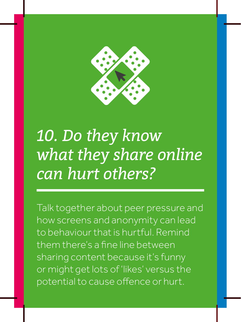

### *10. Do they know what they share online can hurt others?*

Talk together about peer pressure and how screens and anonymity can lead to behaviour that is hurtful. Remind them there's a fine line between sharing content because it's funny or might get lots of 'likes' versus the potential to cause offence or hurt.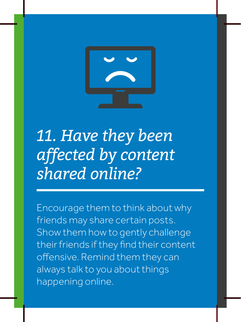#### *11. Have they been affected by content shared online?*

Encourage them to think about why friends may share certain posts. Show them how to gently challenge their friends if they find their content offensive. Remind them they can always talk to you about things happening online.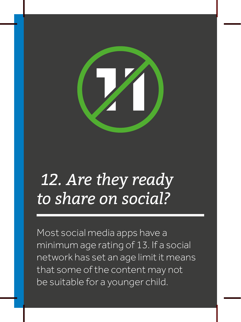

#### *12. Are they ready to share on social?*

Most social media apps have a minimum age rating of 13. If a social network has set an age limit it means that some of the content may not be suitable for a younger child.